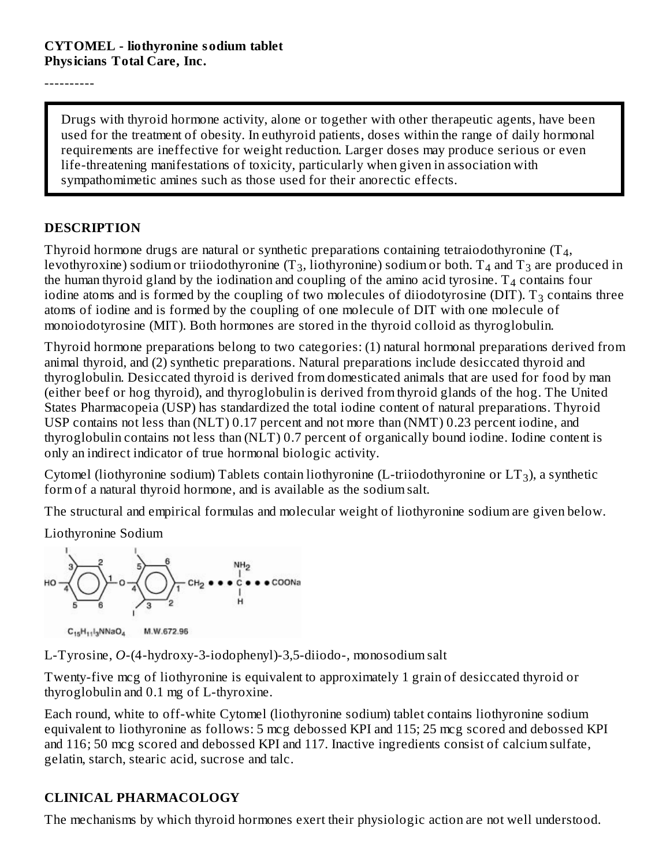----------

Drugs with thyroid hormone activity, alone or together with other therapeutic agents, have been used for the treatment of obesity. In euthyroid patients, doses within the range of daily hormonal requirements are ineffective for weight reduction. Larger doses may produce serious or even life-threatening manifestations of toxicity, particularly when given in association with sympathomimetic amines such as those used for their anorectic effects.

#### **DESCRIPTION**

Thyroid hormone drugs are natural or synthetic preparations containing tetraiodothyronine (T<sub>4</sub>, levothyroxine) sodium or triiodothyronine (T3, liothyronine) sodium or both.  $\mathrm{T}_4$  and  $\mathrm{T}_3$  are produced in the human thyroid gland by the iodination and coupling of the amino acid tyrosine.  $T_{4}$  contains four iodine atoms and is formed by the coupling of two molecules of diiodotyrosine (DIT).  $\text{T}_3$  contains three atoms of iodine and is formed by the coupling of one molecule of DIT with one molecule of monoiodotyrosine (MIT). Both hormones are stored in the thyroid colloid as thyroglobulin.

Thyroid hormone preparations belong to two categories: (1) natural hormonal preparations derived from animal thyroid, and (2) synthetic preparations. Natural preparations include desiccated thyroid and thyroglobulin. Desiccated thyroid is derived from domesticated animals that are used for food by man (either beef or hog thyroid), and thyroglobulin is derived from thyroid glands of the hog. The United States Pharmacopeia (USP) has standardized the total iodine content of natural preparations. Thyroid USP contains not less than (NLT) 0.17 percent and not more than (NMT) 0.23 percent iodine, and thyroglobulin contains not less than (NLT) 0.7 percent of organically bound iodine. Iodine content is only an indirect indicator of true hormonal biologic activity.

Cytomel (liothyronine sodium) Tablets contain liothyronine (L-triiodothyronine or  $\mathrm{LT}_3$ ), a synthetic form of a natural thyroid hormone, and is available as the sodium salt.

The structural and empirical formulas and molecular weight of liothyronine sodium are given below.

Liothyronine Sodium



L-Tyrosine, *O*-(4-hydroxy-3-iodophenyl)-3,5-diiodo-, monosodium salt

Twenty-five mcg of liothyronine is equivalent to approximately 1 grain of desiccated thyroid or thyroglobulin and 0.1 mg of L-thyroxine.

Each round, white to off-white Cytomel (liothyronine sodium) tablet contains liothyronine sodium equivalent to liothyronine as follows: 5 mcg debossed KPI and 115; 25 mcg scored and debossed KPI and 116; 50 mcg scored and debossed KPI and 117. Inactive ingredients consist of calcium sulfate, gelatin, starch, stearic acid, sucrose and talc.

#### **CLINICAL PHARMACOLOGY**

The mechanisms by which thyroid hormones exert their physiologic action are not well understood.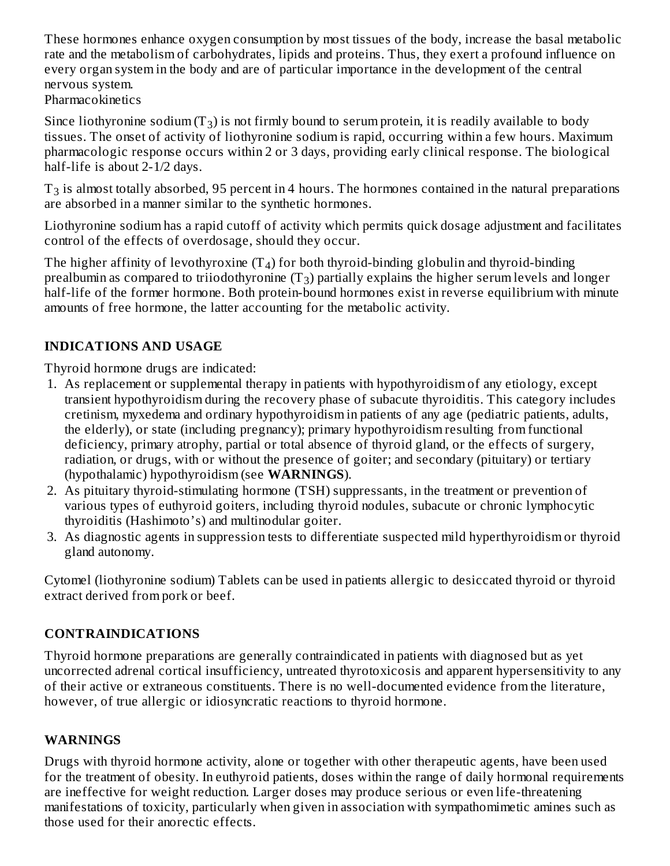These hormones enhance oxygen consumption by most tissues of the body, increase the basal metabolic rate and the metabolism of carbohydrates, lipids and proteins. Thus, they exert a profound influence on every organ system in the body and are of particular importance in the development of the central nervous system. **Pharmacokinetics** 

Since liothyronine sodium  $(T_3)$  is not firmly bound to serum protein, it is readily available to body tissues. The onset of activity of liothyronine sodium is rapid, occurring within a few hours. Maximum pharmacologic response occurs within 2 or 3 days, providing early clinical response. The biological half-life is about 2-1/2 days.

 $T_3$  is almost totally absorbed, 95 percent in 4 hours. The hormones contained in the natural preparations are absorbed in a manner similar to the synthetic hormones.

Liothyronine sodium has a rapid cutoff of activity which permits quick dosage adjustment and facilitates control of the effects of overdosage, should they occur.

The higher affinity of levothyroxine  $(T_4)$  for both thyroid-binding globulin and thyroid-binding prealbumin as compared to triiodothyronine (T $_3$ ) partially explains the higher serum levels and longer half-life of the former hormone. Both protein-bound hormones exist in reverse equilibrium with minute amounts of free hormone, the latter accounting for the metabolic activity.

# **INDICATIONS AND USAGE**

Thyroid hormone drugs are indicated:

- 1. As replacement or supplemental therapy in patients with hypothyroidism of any etiology, except transient hypothyroidism during the recovery phase of subacute thyroiditis. This category includes cretinism, myxedema and ordinary hypothyroidism in patients of any age (pediatric patients, adults, the elderly), or state (including pregnancy); primary hypothyroidism resulting from functional deficiency, primary atrophy, partial or total absence of thyroid gland, or the effects of surgery, radiation, or drugs, with or without the presence of goiter; and secondary (pituitary) or tertiary (hypothalamic) hypothyroidism (see **WARNINGS**).
- 2. As pituitary thyroid-stimulating hormone (TSH) suppressants, in the treatment or prevention of various types of euthyroid goiters, including thyroid nodules, subacute or chronic lymphocytic thyroiditis (Hashimoto's) and multinodular goiter.
- 3. As diagnostic agents in suppression tests to differentiate suspected mild hyperthyroidism or thyroid gland autonomy.

Cytomel (liothyronine sodium) Tablets can be used in patients allergic to desiccated thyroid or thyroid extract derived from pork or beef.

# **CONTRAINDICATIONS**

Thyroid hormone preparations are generally contraindicated in patients with diagnosed but as yet uncorrected adrenal cortical insufficiency, untreated thyrotoxicosis and apparent hypersensitivity to any of their active or extraneous constituents. There is no well-documented evidence from the literature, however, of true allergic or idiosyncratic reactions to thyroid hormone.

# **WARNINGS**

Drugs with thyroid hormone activity, alone or together with other therapeutic agents, have been used for the treatment of obesity. In euthyroid patients, doses within the range of daily hormonal requirements are ineffective for weight reduction. Larger doses may produce serious or even life-threatening manifestations of toxicity, particularly when given in association with sympathomimetic amines such as those used for their anorectic effects.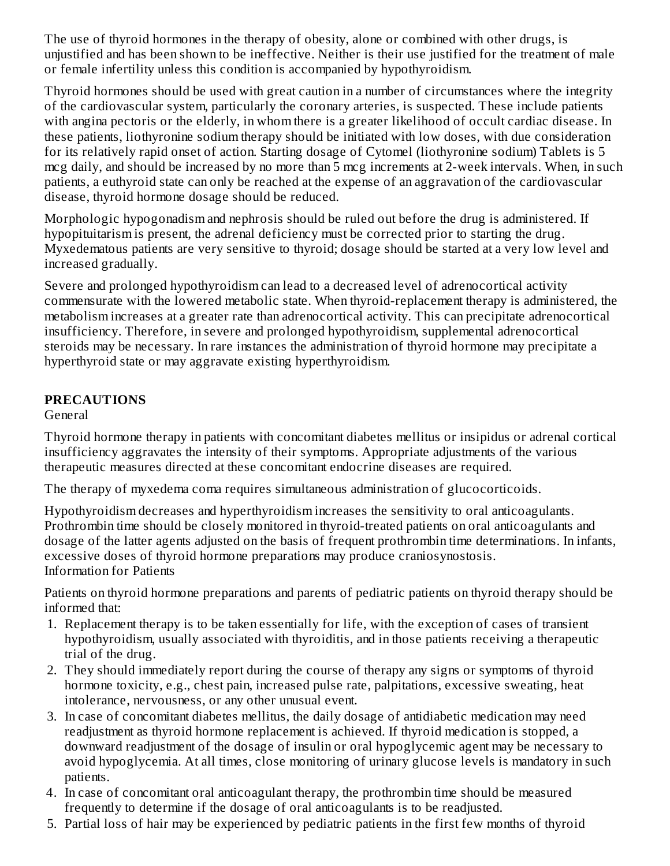The use of thyroid hormones in the therapy of obesity, alone or combined with other drugs, is unjustified and has been shown to be ineffective. Neither is their use justified for the treatment of male or female infertility unless this condition is accompanied by hypothyroidism.

Thyroid hormones should be used with great caution in a number of circumstances where the integrity of the cardiovascular system, particularly the coronary arteries, is suspected. These include patients with angina pectoris or the elderly, in whom there is a greater likelihood of occult cardiac disease. In these patients, liothyronine sodium therapy should be initiated with low doses, with due consideration for its relatively rapid onset of action. Starting dosage of Cytomel (liothyronine sodium) Tablets is 5 mcg daily, and should be increased by no more than 5 mcg increments at 2-week intervals. When, in such patients, a euthyroid state can only be reached at the expense of an aggravation of the cardiovascular disease, thyroid hormone dosage should be reduced.

Morphologic hypogonadism and nephrosis should be ruled out before the drug is administered. If hypopituitarism is present, the adrenal deficiency must be corrected prior to starting the drug. Myxedematous patients are very sensitive to thyroid; dosage should be started at a very low level and increased gradually.

Severe and prolonged hypothyroidism can lead to a decreased level of adrenocortical activity commensurate with the lowered metabolic state. When thyroid-replacement therapy is administered, the metabolism increases at a greater rate than adrenocortical activity. This can precipitate adrenocortical insufficiency. Therefore, in severe and prolonged hypothyroidism, supplemental adrenocortical steroids may be necessary. In rare instances the administration of thyroid hormone may precipitate a hyperthyroid state or may aggravate existing hyperthyroidism.

# **PRECAUTIONS**

## General

Thyroid hormone therapy in patients with concomitant diabetes mellitus or insipidus or adrenal cortical insufficiency aggravates the intensity of their symptoms. Appropriate adjustments of the various therapeutic measures directed at these concomitant endocrine diseases are required.

The therapy of myxedema coma requires simultaneous administration of glucocorticoids.

Hypothyroidism decreases and hyperthyroidism increases the sensitivity to oral anticoagulants. Prothrombin time should be closely monitored in thyroid-treated patients on oral anticoagulants and dosage of the latter agents adjusted on the basis of frequent prothrombin time determinations. In infants, excessive doses of thyroid hormone preparations may produce craniosynostosis. Information for Patients

Patients on thyroid hormone preparations and parents of pediatric patients on thyroid therapy should be informed that:

- 1. Replacement therapy is to be taken essentially for life, with the exception of cases of transient hypothyroidism, usually associated with thyroiditis, and in those patients receiving a therapeutic trial of the drug.
- 2. They should immediately report during the course of therapy any signs or symptoms of thyroid hormone toxicity, e.g., chest pain, increased pulse rate, palpitations, excessive sweating, heat intolerance, nervousness, or any other unusual event.
- 3. In case of concomitant diabetes mellitus, the daily dosage of antidiabetic medication may need readjustment as thyroid hormone replacement is achieved. If thyroid medication is stopped, a downward readjustment of the dosage of insulin or oral hypoglycemic agent may be necessary to avoid hypoglycemia. At all times, close monitoring of urinary glucose levels is mandatory in such patients.
- 4. In case of concomitant oral anticoagulant therapy, the prothrombin time should be measured frequently to determine if the dosage of oral anticoagulants is to be readjusted.
- 5. Partial loss of hair may be experienced by pediatric patients in the first few months of thyroid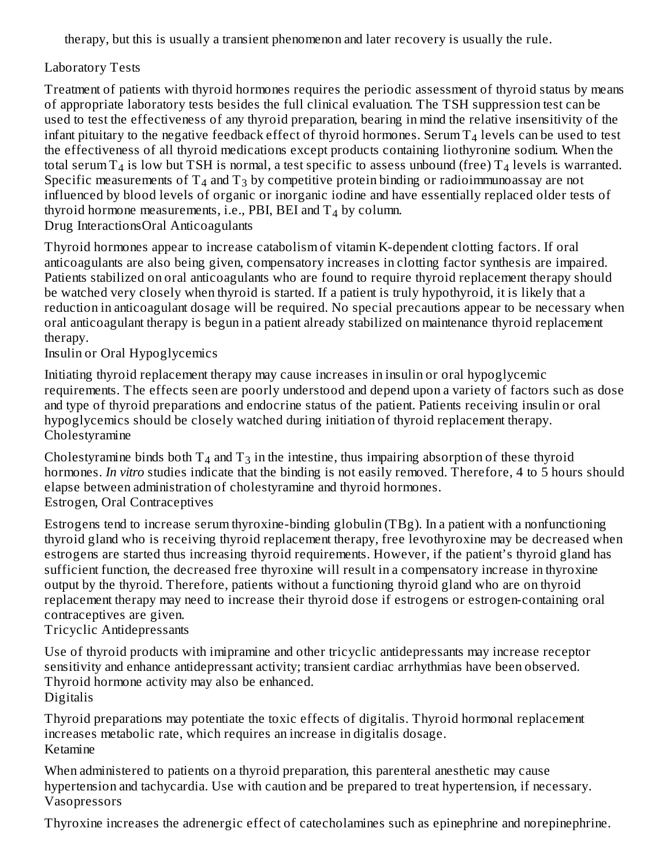therapy, but this is usually a transient phenomenon and later recovery is usually the rule.

## Laboratory Tests

Treatment of patients with thyroid hormones requires the periodic assessment of thyroid status by means of appropriate laboratory tests besides the full clinical evaluation. The TSH suppression test can be used to test the effectiveness of any thyroid preparation, bearing in mind the relative insensitivity of the infant pituitary to the negative feedback effect of thyroid hormones. Serum  ${\tt T}_4$  levels can be used to test the effectiveness of all thyroid medications except products containing liothyronine sodium. When the total serum  $T_4$  is low but TSH is normal, a test specific to assess unbound (free)  $T_4$  levels is warranted. Specific measurements of  $T_{4}$  and  $T_{3}$  by competitive protein binding or radioimmunoassay are not influenced by blood levels of organic or inorganic iodine and have essentially replaced older tests of thyroid hormone measurements, i.e., PBI, BEI and  $T_4$  by column. Drug InteractionsOral Anticoagulants

Thyroid hormones appear to increase catabolism of vitamin K-dependent clotting factors. If oral anticoagulants are also being given, compensatory increases in clotting factor synthesis are impaired. Patients stabilized on oral anticoagulants who are found to require thyroid replacement therapy should be watched very closely when thyroid is started. If a patient is truly hypothyroid, it is likely that a reduction in anticoagulant dosage will be required. No special precautions appear to be necessary when oral anticoagulant therapy is begun in a patient already stabilized on maintenance thyroid replacement therapy.

Insulin or Oral Hypoglycemics

Initiating thyroid replacement therapy may cause increases in insulin or oral hypoglycemic requirements. The effects seen are poorly understood and depend upon a variety of factors such as dose and type of thyroid preparations and endocrine status of the patient. Patients receiving insulin or oral hypoglycemics should be closely watched during initiation of thyroid replacement therapy. Cholestyramine

Cholestyramine binds both  $T_4$  and  $T_3$  in the intestine, thus impairing absorption of these thyroid hormones. *In vitro* studies indicate that the binding is not easily removed. Therefore, 4 to 5 hours should elapse between administration of cholestyramine and thyroid hormones. Estrogen, Oral Contraceptives

Estrogens tend to increase serum thyroxine-binding globulin (TBg). In a patient with a nonfunctioning thyroid gland who is receiving thyroid replacement therapy, free levothyroxine may be decreased when estrogens are started thus increasing thyroid requirements. However, if the patient's thyroid gland has sufficient function, the decreased free thyroxine will result in a compensatory increase in thyroxine output by the thyroid. Therefore, patients without a functioning thyroid gland who are on thyroid replacement therapy may need to increase their thyroid dose if estrogens or estrogen-containing oral contraceptives are given.

Tricyclic Antidepressants

Use of thyroid products with imipramine and other tricyclic antidepressants may increase receptor sensitivity and enhance antidepressant activity; transient cardiac arrhythmias have been observed. Thyroid hormone activity may also be enhanced. Digitalis

Thyroid preparations may potentiate the toxic effects of digitalis. Thyroid hormonal replacement increases metabolic rate, which requires an increase in digitalis dosage. Ketamine

When administered to patients on a thyroid preparation, this parenteral anesthetic may cause hypertension and tachycardia. Use with caution and be prepared to treat hypertension, if necessary. Vasopressors

Thyroxine increases the adrenergic effect of catecholamines such as epinephrine and norepinephrine.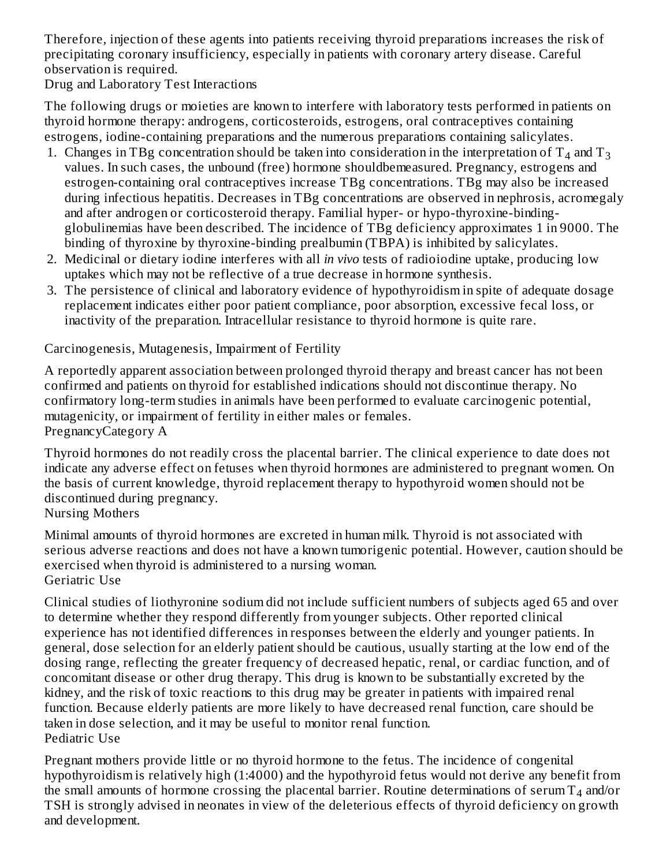Therefore, injection of these agents into patients receiving thyroid preparations increases the risk of precipitating coronary insufficiency, especially in patients with coronary artery disease. Careful observation is required.

Drug and Laboratory Test Interactions

The following drugs or moieties are known to interfere with laboratory tests performed in patients on thyroid hormone therapy: androgens, corticosteroids, estrogens, oral contraceptives containing estrogens, iodine-containing preparations and the numerous preparations containing salicylates.

- 1. Changes in TBg concentration should be taken into consideration in the interpretation of T<sub>4</sub> and T<sub>3</sub> values. In such cases, the unbound (free) hormone shouldbemeasured. Pregnancy, estrogens and estrogen-containing oral contraceptives increase TBg concentrations. TBg may also be increased during infectious hepatitis. Decreases in TBg concentrations are observed in nephrosis, acromegaly and after androgen or corticosteroid therapy. Familial hyper- or hypo-thyroxine-bindingglobulinemias have been described. The incidence of TBg deficiency approximates 1 in 9000. The binding of thyroxine by thyroxine-binding prealbumin (TBPA) is inhibited by salicylates.
- 2. Medicinal or dietary iodine interferes with all *in vivo* tests of radioiodine uptake, producing low uptakes which may not be reflective of a true decrease in hormone synthesis.
- 3. The persistence of clinical and laboratory evidence of hypothyroidism in spite of adequate dosage replacement indicates either poor patient compliance, poor absorption, excessive fecal loss, or inactivity of the preparation. Intracellular resistance to thyroid hormone is quite rare.

Carcinogenesis, Mutagenesis, Impairment of Fertility

A reportedly apparent association between prolonged thyroid therapy and breast cancer has not been confirmed and patients on thyroid for established indications should not discontinue therapy. No confirmatory long-term studies in animals have been performed to evaluate carcinogenic potential, mutagenicity, or impairment of fertility in either males or females. PregnancyCategory A

Thyroid hormones do not readily cross the placental barrier. The clinical experience to date does not indicate any adverse effect on fetuses when thyroid hormones are administered to pregnant women. On the basis of current knowledge, thyroid replacement therapy to hypothyroid women should not be discontinued during pregnancy.

Nursing Mothers

Minimal amounts of thyroid hormones are excreted in human milk. Thyroid is not associated with serious adverse reactions and does not have a known tumorigenic potential. However, caution should be exercised when thyroid is administered to a nursing woman. Geriatric Use

Clinical studies of liothyronine sodium did not include sufficient numbers of subjects aged 65 and over to determine whether they respond differently from younger subjects. Other reported clinical experience has not identified differences in responses between the elderly and younger patients. In general, dose selection for an elderly patient should be cautious, usually starting at the low end of the dosing range, reflecting the greater frequency of decreased hepatic, renal, or cardiac function, and of concomitant disease or other drug therapy. This drug is known to be substantially excreted by the kidney, and the risk of toxic reactions to this drug may be greater in patients with impaired renal function. Because elderly patients are more likely to have decreased renal function, care should be taken in dose selection, and it may be useful to monitor renal function. Pediatric Use

Pregnant mothers provide little or no thyroid hormone to the fetus. The incidence of congenital hypothyroidism is relatively high (1:4000) and the hypothyroid fetus would not derive any benefit from the small amounts of hormone crossing the placental barrier. Routine determinations of serum T<sub>4</sub> and/or TSH is strongly advised in neonates in view of the deleterious effects of thyroid deficiency on growth and development.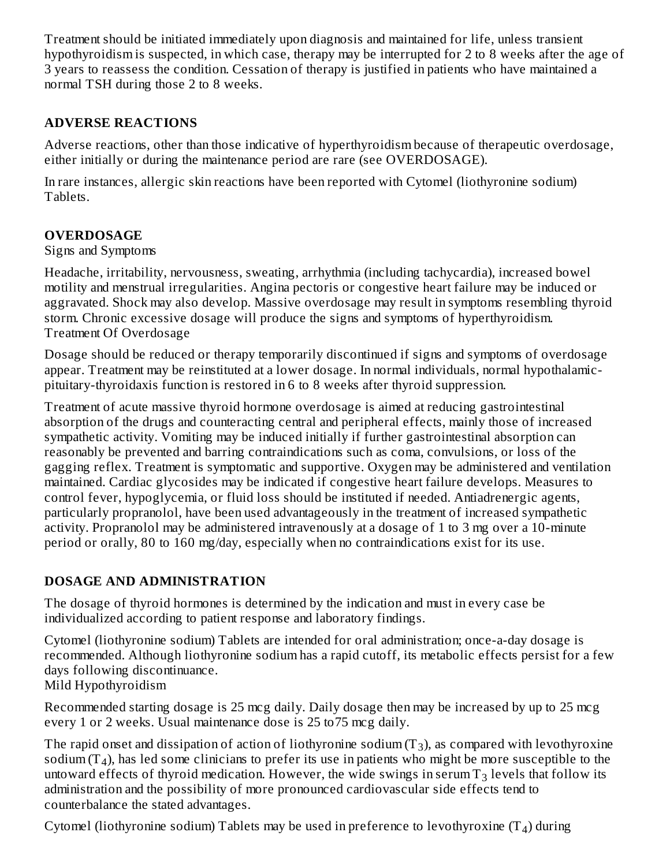Treatment should be initiated immediately upon diagnosis and maintained for life, unless transient hypothyroidism is suspected, in which case, therapy may be interrupted for 2 to 8 weeks after the age of 3 years to reassess the condition. Cessation of therapy is justified in patients who have maintained a normal TSH during those 2 to 8 weeks.

## **ADVERSE REACTIONS**

Adverse reactions, other than those indicative of hyperthyroidism because of therapeutic overdosage, either initially or during the maintenance period are rare (see OVERDOSAGE).

In rare instances, allergic skin reactions have been reported with Cytomel (liothyronine sodium) Tablets.

#### **OVERDOSAGE**

Signs and Symptoms

Headache, irritability, nervousness, sweating, arrhythmia (including tachycardia), increased bowel motility and menstrual irregularities. Angina pectoris or congestive heart failure may be induced or aggravated. Shock may also develop. Massive overdosage may result in symptoms resembling thyroid storm. Chronic excessive dosage will produce the signs and symptoms of hyperthyroidism. Treatment Of Overdosage

Dosage should be reduced or therapy temporarily discontinued if signs and symptoms of overdosage appear. Treatment may be reinstituted at a lower dosage. In normal individuals, normal hypothalamicpituitary-thyroidaxis function is restored in 6 to 8 weeks after thyroid suppression.

Treatment of acute massive thyroid hormone overdosage is aimed at reducing gastrointestinal absorption of the drugs and counteracting central and peripheral effects, mainly those of increased sympathetic activity. Vomiting may be induced initially if further gastrointestinal absorption can reasonably be prevented and barring contraindications such as coma, convulsions, or loss of the gagging reflex. Treatment is symptomatic and supportive. Oxygen may be administered and ventilation maintained. Cardiac glycosides may be indicated if congestive heart failure develops. Measures to control fever, hypoglycemia, or fluid loss should be instituted if needed. Antiadrenergic agents, particularly propranolol, have been used advantageously in the treatment of increased sympathetic activity. Propranolol may be administered intravenously at a dosage of 1 to 3 mg over a 10-minute period or orally, 80 to 160 mg/day, especially when no contraindications exist for its use.

#### **DOSAGE AND ADMINISTRATION**

The dosage of thyroid hormones is determined by the indication and must in every case be individualized according to patient response and laboratory findings.

Cytomel (liothyronine sodium) Tablets are intended for oral administration; once-a-day dosage is recommended. Although liothyronine sodium has a rapid cutoff, its metabolic effects persist for a few days following discontinuance.

Mild Hypothyroidism

Recommended starting dosage is 25 mcg daily. Daily dosage then may be increased by up to 25 mcg every 1 or 2 weeks. Usual maintenance dose is 25 to75 mcg daily.

The rapid onset and dissipation of action of liothyronine sodium (T<sub>3</sub>), as compared with levothyroxine sodium (T<sub>4</sub>), has led some clinicians to prefer its use in patients who might be more susceptible to the untoward effects of thyroid medication. However, the wide swings in serum  ${\tt T}_3$  levels that follow its administration and the possibility of more pronounced cardiovascular side effects tend to counterbalance the stated advantages.

Cytomel (liothyronine sodium) Tablets may be used in preference to levothyroxine (T<sub>4</sub>) during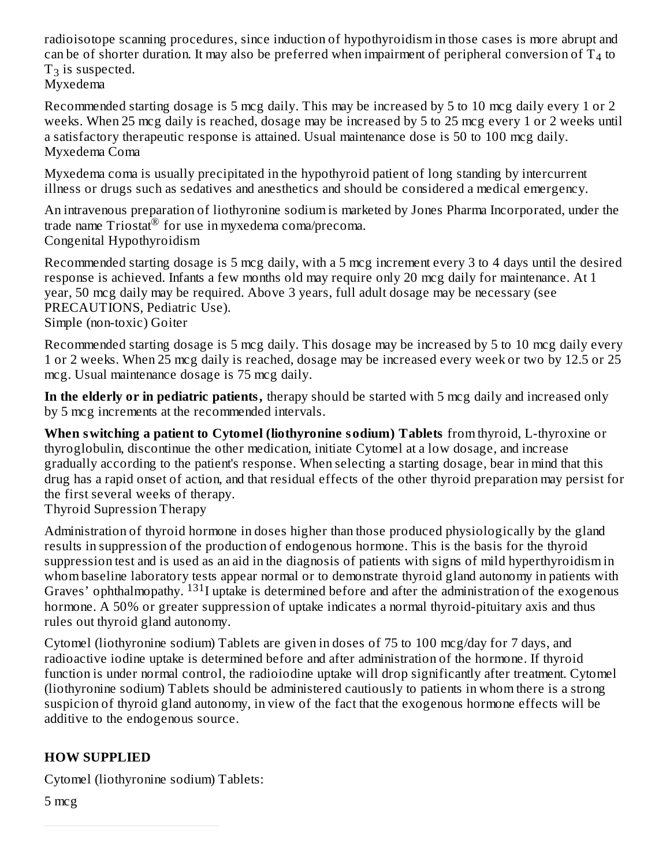radioisotope scanning procedures, since induction of hypothyroidism in those cases is more abrupt and can be of shorter duration. It may also be preferred when impairment of peripheral conversion of  $T_{\rm 4}$  to  $T_3$  is suspected. Myxedema 4

Recommended starting dosage is 5 mcg daily. This may be increased by 5 to 10 mcg daily every 1 or 2 weeks. When 25 mcg daily is reached, dosage may be increased by 5 to 25 mcg every 1 or 2 weeks until a satisfactory therapeutic response is attained. Usual maintenance dose is 50 to 100 mcg daily. Myxedema Coma

Myxedema coma is usually precipitated in the hypothyroid patient of long standing by intercurrent illness or drugs such as sedatives and anesthetics and should be considered a medical emergency.

An intravenous preparation of liothyronine sodium is marketed by Jones Pharma Incorporated, under the trade name  $\mathrm{Triostat}^{\circledR}$  for use in myxedema coma/precoma. Congenital Hypothyroidism

Recommended starting dosage is 5 mcg daily, with a 5 mcg increment every 3 to 4 days until the desired response is achieved. Infants a few months old may require only 20 mcg daily for maintenance. At 1 year, 50 mcg daily may be required. Above 3 years, full adult dosage may be necessary (see PRECAUTIONS, Pediatric Use). Simple (non-toxic) Goiter

Recommended starting dosage is 5 mcg daily. This dosage may be increased by 5 to 10 mcg daily every 1 or 2 weeks. When 25 mcg daily is reached, dosage may be increased every week or two by 12.5 or 25 mcg. Usual maintenance dosage is 75 mcg daily.

**In the elderly or in pediatric patients,** therapy should be started with 5 mcg daily and increased only by 5 mcg increments at the recommended intervals.

**When switching a patient to Cytomel (liothyronine sodium) Tablets** from thyroid, L-thyroxine or thyroglobulin, discontinue the other medication, initiate Cytomel at a low dosage, and increase gradually according to the patient's response. When selecting a starting dosage, bear in mind that this drug has a rapid onset of action, and that residual effects of the other thyroid preparation may persist for the first several weeks of therapy.

Thyroid Supression Therapy

Administration of thyroid hormone in doses higher than those produced physiologically by the gland results in suppression of the production of endogenous hormone. This is the basis for the thyroid suppression test and is used as an aid in the diagnosis of patients with signs of mild hyperthyroidism in whom baseline laboratory tests appear normal or to demonstrate thyroid gland autonomy in patients with Graves' ophthalmopathy.  $^{131}$ I uptake is determined before and after the administration of the exogenous hormone. A 50% or greater suppression of uptake indicates a normal thyroid-pituitary axis and thus rules out thyroid gland autonomy.

Cytomel (liothyronine sodium) Tablets are given in doses of 75 to 100 mcg/day for 7 days, and radioactive iodine uptake is determined before and after administration of the hormone. If thyroid function is under normal control, the radioiodine uptake will drop significantly after treatment. Cytomel (liothyronine sodium) Tablets should be administered cautiously to patients in whom there is a strong suspicion of thyroid gland autonomy, in view of the fact that the exogenous hormone effects will be additive to the endogenous source.

# **HOW SUPPLIED**

Cytomel (liothyronine sodium) Tablets:

5 mcg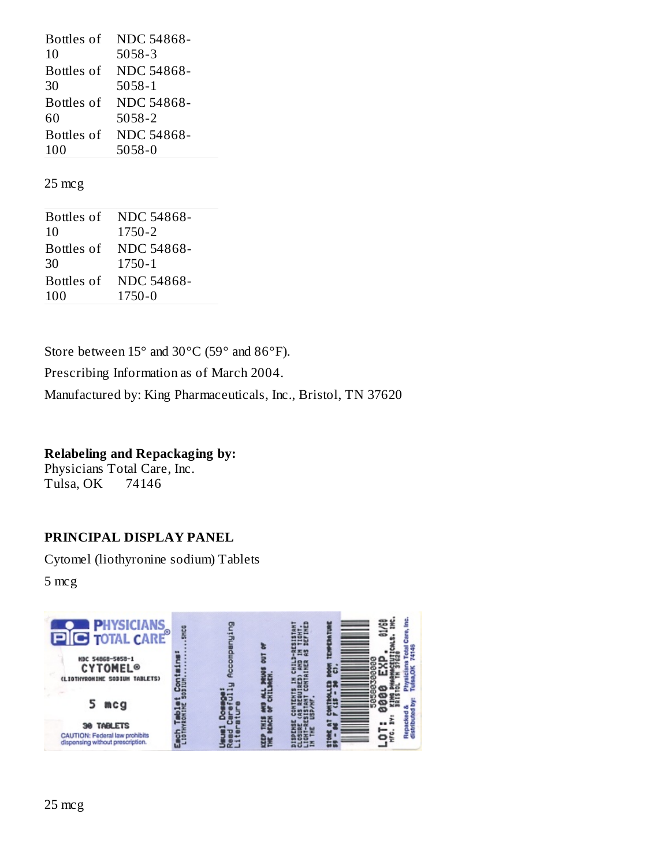Bottles of NDC 54868- 10 5058-3 Bottles of 30 NDC 54868- 5058-1 Bottles of 60 NDC 54868- 5058-2 Bottles of 100 NDC 54868- 5058-0

#### 25 mcg

| Bottles of | NDC 54868-        |
|------------|-------------------|
| 10         | 1750-2            |
| Bottles of | NDC 54868-        |
| 30         | 1750-1            |
| Bottles of | <b>NDC 54868-</b> |
| 100        | $1750 - 0$        |

Store between 15° and 30°C (59° and 86°F).

Prescribing Information as of March 2004.

Manufactured by: King Pharmaceuticals, Inc., Bristol, TN 37620

#### **Relabeling and Repackaging by:**

Physicians Total Care, Inc. Tulsa, OK 74146

#### **PRINCIPAL DISPLAY PANEL**

Cytomel (liothyronine sodium) Tablets

5 mcg

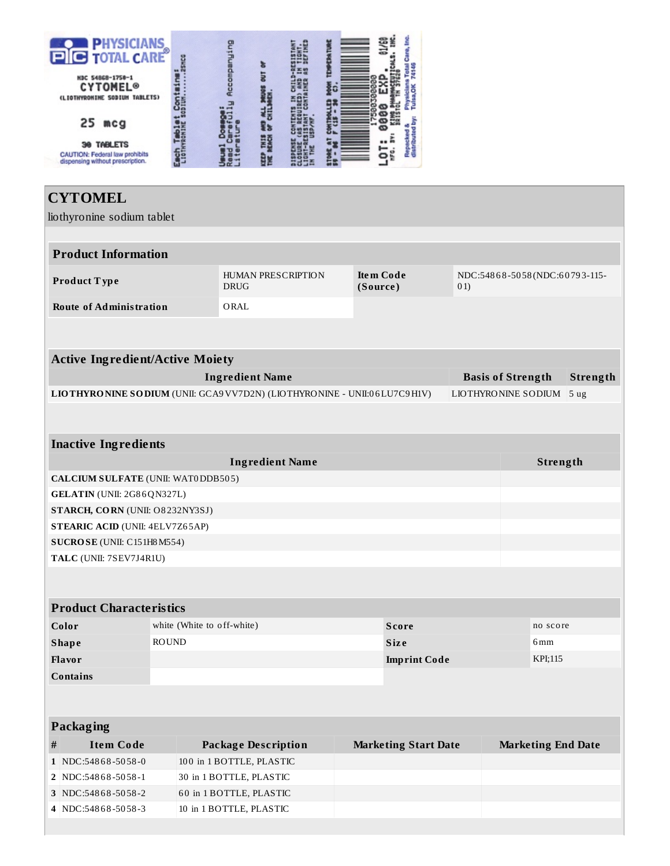

# **CYTOMEL**

liothyronine sodium tablet

| <b>Product Information</b>                |                                            |                                                                                                           |                 |                             |         |                           |                 |
|-------------------------------------------|--------------------------------------------|-----------------------------------------------------------------------------------------------------------|-----------------|-----------------------------|---------|---------------------------|-----------------|
| Product Type                              |                                            | <b>Item Code</b><br>HUMAN PRESCRIPTION<br>NDC:54868-5058(NDC:60793-115-<br><b>DRUG</b><br>(Source)<br>01) |                 |                             |         |                           |                 |
| <b>Route of Administration</b>            |                                            | ORAL                                                                                                      |                 |                             |         |                           |                 |
|                                           |                                            |                                                                                                           |                 |                             |         |                           |                 |
| <b>Active Ingredient/Active Moiety</b>    |                                            |                                                                                                           |                 |                             |         |                           |                 |
|                                           |                                            | <b>Ingredient Name</b>                                                                                    |                 |                             |         | <b>Basis of Strength</b>  | Strength        |
|                                           |                                            | LIOTHYRONINE SODIUM (UNII: GCA9 VV7D2N) (LIOTHYRONINE - UNII:06 LU7C9 H1V)                                |                 |                             |         | LIOTHYRONINE SODIUM       | 5 <sub>ug</sub> |
|                                           |                                            |                                                                                                           |                 |                             |         |                           |                 |
| <b>Inactive Ingredients</b>               |                                            |                                                                                                           |                 |                             |         |                           |                 |
|                                           |                                            | <b>Ingredient Name</b>                                                                                    |                 |                             |         | Strength                  |                 |
| <b>CALCIUM SULFATE (UNII: WAT0DDB505)</b> |                                            |                                                                                                           |                 |                             |         |                           |                 |
| GELATIN (UNII: 2G86QN327L)                |                                            |                                                                                                           |                 |                             |         |                           |                 |
| STARCH, CORN (UNII: O8232NY3SJ)           |                                            |                                                                                                           |                 |                             |         |                           |                 |
| STEARIC ACID (UNII: 4ELV7Z65AP)           |                                            |                                                                                                           |                 |                             |         |                           |                 |
| SUCROSE (UNII: C151H8 M554)               |                                            |                                                                                                           |                 |                             |         |                           |                 |
| TALC (UNII: 7SEV7J4R1U)                   |                                            |                                                                                                           |                 |                             |         |                           |                 |
|                                           |                                            |                                                                                                           |                 |                             |         |                           |                 |
| <b>Product Characteristics</b>            |                                            |                                                                                                           |                 |                             |         |                           |                 |
| Color                                     | white (White to off-white)<br><b>Score</b> |                                                                                                           |                 | no score                    |         |                           |                 |
| <b>Shape</b>                              | <b>ROUND</b><br><b>Size</b>                |                                                                                                           | 6 <sub>mm</sub> |                             |         |                           |                 |
| <b>Flavor</b>                             | <b>Imprint Code</b>                        |                                                                                                           |                 |                             | KPI;115 |                           |                 |
| <b>Contains</b>                           |                                            |                                                                                                           |                 |                             |         |                           |                 |
|                                           |                                            |                                                                                                           |                 |                             |         |                           |                 |
| Packaging                                 |                                            |                                                                                                           |                 |                             |         |                           |                 |
| <b>Item Code</b><br>$\#$                  |                                            | <b>Package Description</b>                                                                                |                 | <b>Marketing Start Date</b> |         | <b>Marketing End Date</b> |                 |
| 1 NDC:54868-5058-0                        |                                            | 100 in 1 BOTTLE, PLASTIC                                                                                  |                 |                             |         |                           |                 |
| 2 NDC:54868-5058-1                        |                                            | 30 in 1 BOTTLE, PLASTIC                                                                                   |                 |                             |         |                           |                 |
| 3 NDC:54868-5058-2                        |                                            | 60 in 1 BOTTLE, PLASTIC                                                                                   |                 |                             |         |                           |                 |
| 4 NDC:54868-5058-3                        |                                            | 10 in 1 BOTTLE, PLASTIC                                                                                   |                 |                             |         |                           |                 |
|                                           |                                            |                                                                                                           |                 |                             |         |                           |                 |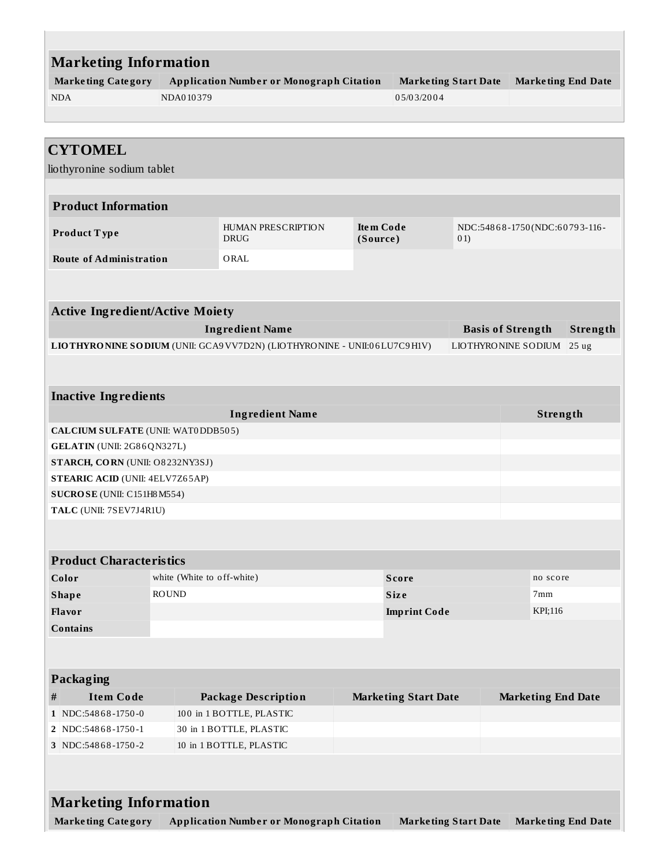|                                           | <b>Marketing Information</b>                           |                                                 |                                                                            |                  |                                                          |                             |                               |                  |
|-------------------------------------------|--------------------------------------------------------|-------------------------------------------------|----------------------------------------------------------------------------|------------------|----------------------------------------------------------|-----------------------------|-------------------------------|------------------|
|                                           | <b>Marketing Category</b>                              | <b>Application Number or Monograph Citation</b> |                                                                            |                  | <b>Marketing Start Date</b><br><b>Marketing End Date</b> |                             |                               |                  |
|                                           | <b>NDA</b>                                             | NDA010379                                       |                                                                            |                  | 05/03/2004                                               |                             |                               |                  |
|                                           |                                                        |                                                 |                                                                            |                  |                                                          |                             |                               |                  |
|                                           | <b>CYTOMEL</b>                                         |                                                 |                                                                            |                  |                                                          |                             |                               |                  |
|                                           | liothyronine sodium tablet                             |                                                 |                                                                            |                  |                                                          |                             |                               |                  |
|                                           |                                                        |                                                 |                                                                            |                  |                                                          |                             |                               |                  |
|                                           | <b>Product Information</b>                             |                                                 |                                                                            |                  |                                                          |                             |                               |                  |
|                                           |                                                        |                                                 | <b>HUMAN PRESCRIPTION</b>                                                  | <b>Item Code</b> |                                                          |                             | NDC:54868-1750(NDC:60793-116- |                  |
|                                           | Product Type                                           |                                                 | <b>DRUG</b>                                                                | (Source)         |                                                          | 01)                         |                               |                  |
|                                           | <b>Route of Administration</b>                         |                                                 | ORAL                                                                       |                  |                                                          |                             |                               |                  |
|                                           |                                                        |                                                 |                                                                            |                  |                                                          |                             |                               |                  |
|                                           |                                                        |                                                 |                                                                            |                  |                                                          |                             |                               |                  |
|                                           | <b>Active Ingredient/Active Moiety</b>                 |                                                 |                                                                            |                  |                                                          |                             |                               |                  |
|                                           |                                                        |                                                 | <b>Ingredient Name</b>                                                     |                  |                                                          |                             | <b>Basis of Strength</b>      | Strength         |
|                                           |                                                        |                                                 | LIOTHYRONINE SODIUM (UNII: GCA9 VV7D2N) (LIOTHYRONINE - UNII:06 LU7C9 H1V) |                  |                                                          |                             | LIOTHYRONINE SODIUM           | 25 <sub>ug</sub> |
|                                           |                                                        |                                                 |                                                                            |                  |                                                          |                             |                               |                  |
|                                           | <b>Inactive Ingredients</b>                            |                                                 |                                                                            |                  |                                                          |                             |                               |                  |
|                                           |                                                        |                                                 | <b>Ingredient Name</b>                                                     |                  |                                                          |                             | Strength                      |                  |
| <b>CALCIUM SULFATE (UNII: WAT0DDB505)</b> |                                                        |                                                 |                                                                            |                  |                                                          |                             |                               |                  |
|                                           | GELATIN (UNII: 2G86QN327L)                             |                                                 |                                                                            |                  |                                                          |                             |                               |                  |
|                                           | STARCH, CORN (UNII: O8232NY3SJ)                        |                                                 |                                                                            |                  |                                                          |                             |                               |                  |
|                                           | STEARIC ACID (UNII: 4ELV7Z65AP)                        |                                                 |                                                                            |                  |                                                          |                             |                               |                  |
|                                           | SUCROSE (UNII: C151H8 M554)<br>TALC (UNII: 7SEV7J4R1U) |                                                 |                                                                            |                  |                                                          |                             |                               |                  |
|                                           |                                                        |                                                 |                                                                            |                  |                                                          |                             |                               |                  |
|                                           |                                                        |                                                 |                                                                            |                  |                                                          |                             |                               |                  |
|                                           | <b>Product Characteristics</b>                         |                                                 |                                                                            |                  |                                                          |                             |                               |                  |
|                                           | Color                                                  | white (White to off-white)                      |                                                                            |                  | <b>Score</b>                                             |                             | no score                      |                  |
|                                           | <b>Shape</b><br><b>ROUND</b>                           |                                                 |                                                                            | Size             |                                                          | 7mm                         |                               |                  |
|                                           | Flavor                                                 |                                                 |                                                                            |                  | <b>Imprint Code</b>                                      |                             | KPI;116                       |                  |
|                                           | <b>Contains</b>                                        |                                                 |                                                                            |                  |                                                          |                             |                               |                  |
|                                           |                                                        |                                                 |                                                                            |                  |                                                          |                             |                               |                  |
|                                           | Packaging                                              |                                                 |                                                                            |                  |                                                          |                             |                               |                  |
| $\#$                                      | <b>Item Code</b>                                       |                                                 | <b>Package Description</b>                                                 |                  | <b>Marketing Start Date</b>                              |                             | <b>Marketing End Date</b>     |                  |
|                                           | 1 NDC:54868-1750-0                                     |                                                 | 100 in 1 BOTTLE, PLASTIC                                                   |                  |                                                          |                             |                               |                  |
|                                           | 2 NDC:54868-1750-1                                     |                                                 | 30 in 1 BOTTLE, PLASTIC                                                    |                  |                                                          |                             |                               |                  |
|                                           | 3 NDC:54868-1750-2                                     |                                                 | 10 in 1 BOTTLE, PLASTIC                                                    |                  |                                                          |                             |                               |                  |
|                                           |                                                        |                                                 |                                                                            |                  |                                                          |                             |                               |                  |
|                                           |                                                        |                                                 |                                                                            |                  |                                                          |                             |                               |                  |
| <b>Marketing Information</b>              |                                                        |                                                 |                                                                            |                  |                                                          |                             |                               |                  |
|                                           | <b>Marketing Category</b>                              |                                                 | <b>Application Number or Monograph Citation</b>                            |                  |                                                          | <b>Marketing Start Date</b> | <b>Marketing End Date</b>     |                  |

U.